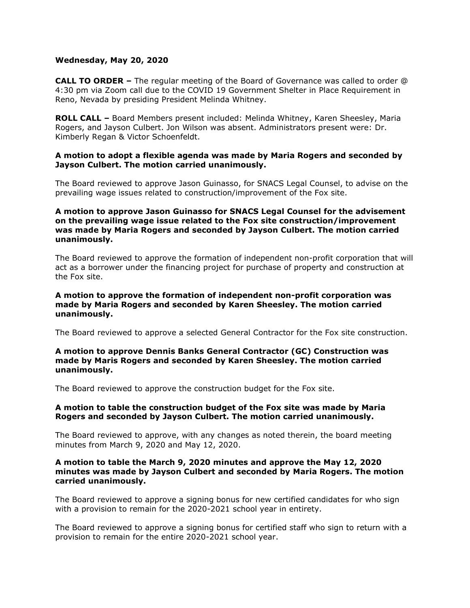## **Wednesday, May 20, 2020**

**CALL TO ORDER –** The regular meeting of the Board of Governance was called to order @ 4:30 pm via Zoom call due to the COVID 19 Government Shelter in Place Requirement in Reno, Nevada by presiding President Melinda Whitney.

**ROLL CALL –** Board Members present included: Melinda Whitney, Karen Sheesley, Maria Rogers, and Jayson Culbert. Jon Wilson was absent. Administrators present were: Dr. Kimberly Regan & Victor Schoenfeldt.

## **A motion to adopt a flexible agenda was made by Maria Rogers and seconded by Jayson Culbert. The motion carried unanimously.**

The Board reviewed to approve Jason Guinasso, for SNACS Legal Counsel, to advise on the prevailing wage issues related to construction/improvement of the Fox site.

# **A motion to approve Jason Guinasso for SNACS Legal Counsel for the advisement on the prevailing wage issue related to the Fox site construction/improvement was made by Maria Rogers and seconded by Jayson Culbert. The motion carried unanimously.**

The Board reviewed to approve the formation of independent non-profit corporation that will act as a borrower under the financing project for purchase of property and construction at the Fox site.

## **A motion to approve the formation of independent non-profit corporation was made by Maria Rogers and seconded by Karen Sheesley. The motion carried unanimously.**

The Board reviewed to approve a selected General Contractor for the Fox site construction.

## **A motion to approve Dennis Banks General Contractor (GC) Construction was made by Maris Rogers and seconded by Karen Sheesley. The motion carried unanimously.**

The Board reviewed to approve the construction budget for the Fox site.

# **A motion to table the construction budget of the Fox site was made by Maria Rogers and seconded by Jayson Culbert. The motion carried unanimously.**

The Board reviewed to approve, with any changes as noted therein, the board meeting minutes from March 9, 2020 and May 12, 2020.

#### **A motion to table the March 9, 2020 minutes and approve the May 12, 2020 minutes was made by Jayson Culbert and seconded by Maria Rogers. The motion carried unanimously.**

The Board reviewed to approve a signing bonus for new certified candidates for who sign with a provision to remain for the 2020-2021 school year in entirety.

The Board reviewed to approve a signing bonus for certified staff who sign to return with a provision to remain for the entire 2020-2021 school year.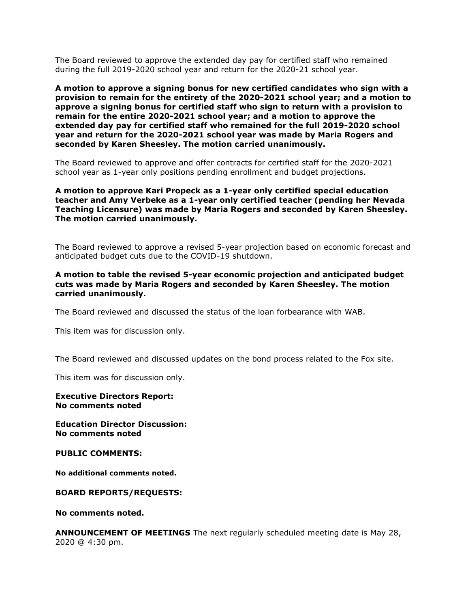The Board reviewed to approve the extended day pay for certified staff who remained during the full 2019-2020 school year and return for the 2020-21 school year.

**A motion to approve a signing bonus for new certified candidates who sign with a provision to remain for the entirety of the 2020-2021 school year; and a motion to approve a signing bonus for certified staff who sign to return with a provision to remain for the entire 2020-2021 school year; and a motion to approve the extended day pay for certified staff who remained for the full 2019-2020 school year and return for the 2020-2021 school year was made by Maria Rogers and seconded by Karen Sheesley. The motion carried unanimously.**

The Board reviewed to approve and offer contracts for certified staff for the 2020-2021 school year as 1-year only positions pending enrollment and budget projections.

## **A motion to approve Kari Propeck as a 1-year only certified special education teacher and Amy Verbeke as a 1-year only certified teacher (pending her Nevada Teaching Licensure) was made by Maria Rogers and seconded by Karen Sheesley. The motion carried unanimously.**

The Board reviewed to approve a revised 5-year projection based on economic forecast and anticipated budget cuts due to the COVID-19 shutdown.

## **A motion to table the revised 5-year economic projection and anticipated budget cuts was made by Maria Rogers and seconded by Karen Sheesley. The motion carried unanimously.**

The Board reviewed and discussed the status of the loan forbearance with WAB.

This item was for discussion only.

The Board reviewed and discussed updates on the bond process related to the Fox site.

This item was for discussion only.

**Executive Directors Report: No comments noted**

**Education Director Discussion: No comments noted** 

**PUBLIC COMMENTS:**

**No additional comments noted.**

#### **BOARD REPORTS/REQUESTS:**

**No comments noted.**

**ANNOUNCEMENT OF MEETINGS** The next regularly scheduled meeting date is May 28, 2020 @ 4:30 pm.